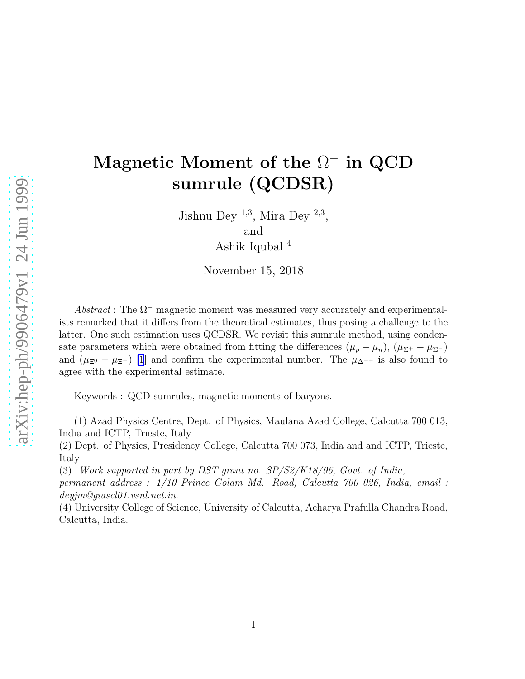## Magnetic Moment of the  $\Omega^-$  in QCD sumrule (QCDSR)

Jishnu Dey  $^{1,3}$ , Mira Dey  $^{2,3}$ , and Ashik Iqubal $^4$ 

November 15, 2018

*Abstract* : The Ω<sup>−</sup> magnetic moment was measured very accurately and experimentalists remarked that it differs from the theoretical estimates, thus posing a challenge to the latter. One such estimation uses QCDSR. We revisit this sumrule method, using condensate parameters which were obtained from fitting the differences  $(\mu_p - \mu_n)$ ,  $(\mu_{\Sigma^+} - \mu_{\Sigma^-})$ and ( $\mu_{\Xi^0} - \mu_{\Xi^-}$ ) [\[1](#page-3-0)] and confirm the experimental number. The  $\mu_{\Delta^{++}}$  is also found to agree with the experimental estimate.

Keywords : QCD sumrules, magnetic moments of baryons.

(1) Azad Physics Centre, Dept. of Physics, Maulana Azad College, Calcutta 700 013, India and ICTP, Trieste, Italy

(2) Dept. of Physics, Presidency College, Calcutta 700 073, India and and ICTP, Trieste, Italy

(3) *Work supported in part by DST grant no. SP/S2/K18/96, Govt. of India,*

*permanent address : 1/10 Prince Golam Md. Road, Calcutta 700 026, India, email : deyjm@giascl01.vsnl.net.in*.

(4) University College of Science, University of Calcutta, Acharya Prafulla Chandra Road, Calcutta, India.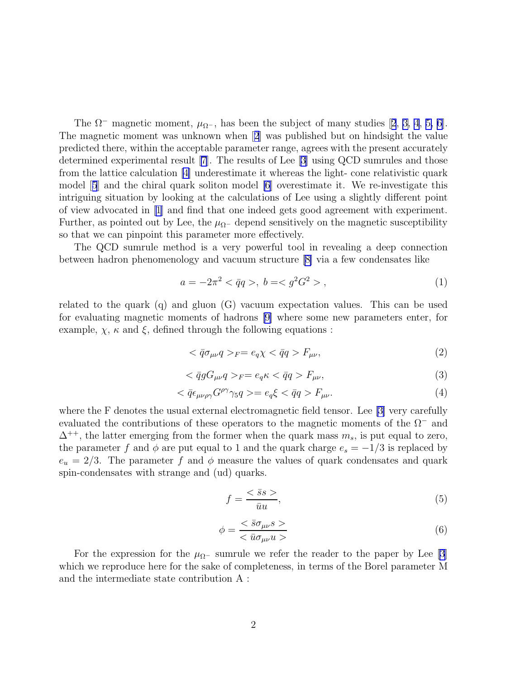The $\Omega^-$  magnetic moment,  $\mu_{\Omega^-}$ , has been the subject of many studies [[2](#page-3-0), [3, 4](#page-3-0), [5, 6\]](#page-3-0). The magnetic moment was unknown when[[2](#page-3-0)] was published but on hindsight the value predicted there, within the acceptable parameter range, agrees with the present accurately determined experimental result[[7\]](#page-3-0). The results of Lee [\[3\]](#page-3-0) using QCD sumrules and those from the lattice calculation [\[4\]](#page-3-0) underestimate it whereas the light- cone relativistic quark model[[5](#page-3-0)] and the chiral quark soliton model [\[6](#page-3-0)] overestimate it. We re-investigate this intriguing situation by looking at the calculations of Lee using a slightly different point of view advocated in [\[1](#page-3-0)] and find that one indeed gets good agreement with experiment. Further, as pointed out by Lee, the  $\mu_{\Omega}$ - depend sensitively on the magnetic susceptibility so that we can pinpoint this parameter more effectively.

The QCD sumrule method is a very powerful tool in revealing a deep connection between hadron phenomenology and vacuum structure [\[8\]](#page-4-0) via a few condensates like

$$
a = -2\pi^2 < \bar{q}q > \quad b = \langle g^2 G^2 \rangle \tag{1}
$$

related to the quark (q) and gluon (G) vacuum expectation values. This can be used for evaluating magnetic moments of hadrons [\[9\]](#page-4-0) where some new parameters enter, for example,  $\chi$ ,  $\kappa$  and  $\xi$ , defined through the following equations :

$$
\langle \bar{q}\sigma_{\mu\nu}q \rangle_F = e_q \chi \langle \bar{q}q \rangle F_{\mu\nu},\tag{2}
$$

$$
\langle \bar{q}g G_{\mu\nu} q \rangle_F = e_q \kappa \langle \bar{q}q \rangle F_{\mu\nu},\tag{3}
$$

$$
\langle \bar{q} \epsilon_{\mu\nu\rho\gamma} G^{\rho\gamma} \gamma_5 q \rangle = e_q \xi \langle \bar{q} q \rangle F_{\mu\nu}.
$$
\n
$$
\tag{4}
$$

where the F denotes the usual external electromagnetic field tensor. Lee [\[3\]](#page-3-0) very carefully evaluated the contributions of these operators to the magnetic moments of the  $\Omega^-$  and  $\Delta^{++}$ , the latter emerging from the former when the quark mass  $m_s$ , is put equal to zero, the parameter f and  $\phi$  are put equal to 1 and the quark charge  $e_s = -1/3$  is replaced by  $e_u = 2/3$ . The parameter f and  $\phi$  measure the values of quark condensates and quark spin-condensates with strange and (ud) quarks.

$$
f = \frac{\langle \bar{s}s \rangle}{\bar{u}u},\tag{5}
$$

$$
\phi = \frac{<\bar{s}\sigma_{\mu\nu}s>}{<\bar{u}\sigma_{\mu\nu}u>}\tag{6}
$$

For the expression for the  $\mu_{\Omega}$ – sumrule we refer the reader to the paper by Lee [\[3](#page-3-0)] which we reproduce here for the sake of completeness, in terms of the Borel parameter M and the intermediate state contribution A :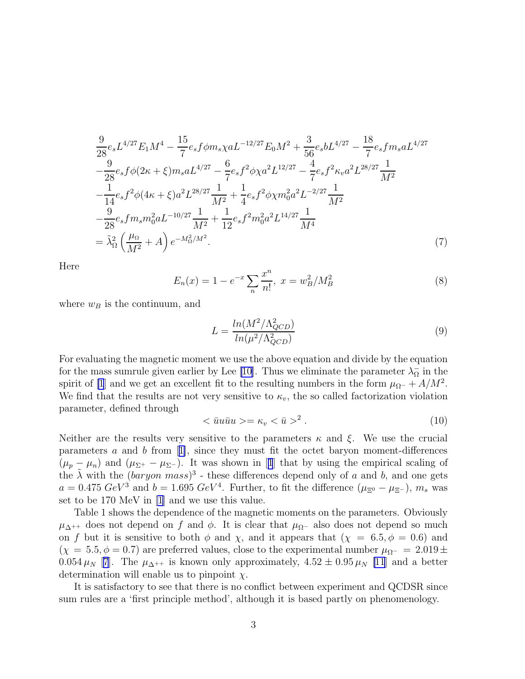$$
\frac{9}{28}e_s L^{4/27} E_1 M^4 - \frac{15}{7}e_s f \phi m_s \chi a L^{-12/27} E_0 M^2 + \frac{3}{56}e_s b L^{4/27} - \frac{18}{7}e_s f m_s a L^{4/27} \n- \frac{9}{28}e_s f \phi (2\kappa + \xi) m_s a L^{4/27} - \frac{6}{7}e_s f^2 \phi \chi a^2 L^{12/27} - \frac{4}{7}e_s f^2 \kappa_v a^2 L^{28/27} \frac{1}{M^2} \n- \frac{1}{14}e_s f^2 \phi (4\kappa + \xi) a^2 L^{28/27} \frac{1}{M^2} + \frac{1}{4}e_s f^2 \phi \chi m_0^2 a^2 L^{-2/27} \frac{1}{M^2} \n- \frac{9}{28}e_s f m_s m_0^2 a L^{-10/27} \frac{1}{M^2} + \frac{1}{12}e_s f^2 m_0^2 a^2 L^{14/27} \frac{1}{M^4} \n= \tilde{\lambda}_{\Omega}^2 \left( \frac{\mu_{\Omega}}{M^2} + A \right) e^{-M_{\Omega}^2/M^2}.
$$
\n(7)

Here

$$
E_n(x) = 1 - e^{-x} \sum_n \frac{x^n}{n!}, \ x = w_B^2 / M_B^2 \tag{8}
$$

where  $w_B$  is the continuum, and

$$
L = \frac{ln(M^2/\Lambda_{QCD}^2)}{ln(\mu^2/\Lambda_{QCD}^2)}
$$
\n(9)

For evaluating the magnetic moment we use the above equation and divide by the equation for the mass sumrule given earlier by Lee [\[10](#page-4-0)]. Thus we eliminate the parameter  $\lambda_{\Omega}$  in the spirit of [\[1](#page-3-0)] and we get an excellent fit to the resulting numbers in the form  $\mu_{\Omega^-} + A/M^2$ . We find that the results are not very sensitive to  $\kappa_v$ , the so called factorization violation parameter, defined through

$$
\langle \bar{u}u\bar{u}u\rangle = \kappa_v \langle \bar{u}\rangle^2. \tag{10}
$$

Neither are the results very sensitive to the parameters  $\kappa$  and  $\xi$ . We use the crucial parameters $a$  and  $b$  from [[1\]](#page-3-0), since they must fit the octet baryon moment-differences  $(\mu_p - \mu_n)$  $(\mu_p - \mu_n)$  $(\mu_p - \mu_n)$  and  $(\mu_{\Sigma^+} - \mu_{\Sigma^-})$ . It was shown in [[1](#page-3-0)] that by using the empirical scaling of the  $\tilde{\lambda}$  with the  $(baryon~mass)^3$  - these differences depend only of a and b, and one gets  $a = 0.475 \; GeV^3$  and  $b = 1.695 \; GeV^4$ . Further, to fit the difference  $(\mu_{\Xi^0} - \mu_{\Xi^-})$ ,  $m_s$  was set to be 170 MeV in [\[1](#page-3-0)] and we use this value.

Table 1 shows the dependence of the magnetic moments on the parameters. Obviously  $\mu_{\Delta^{++}}$  does not depend on f and  $\phi$ . It is clear that  $\mu_{\Omega^-}$  also does not depend so much on f but it is sensitive to both  $\phi$  and  $\chi$ , and it appears that  $(\chi = 6.5, \phi = 0.6)$  and  $(\chi = 5.5, \phi = 0.7)$  are preferred values, close to the experimental number  $\mu_{\Omega^-} = 2.019 \pm 1.00$ 0.054  $\mu$ <sub>N</sub> [[7](#page-3-0)]. The  $\mu$ <sub>Δ++</sub> is known only approximately, 4.52  $\pm$  0.95  $\mu$ <sub>N</sub> [\[11](#page-4-0)] and a better determination will enable us to pinpoint  $\chi$ .

It is satisfactory to see that there is no conflict between experiment and QCDSR since sum rules are a 'first principle method', although it is based partly on phenomenology.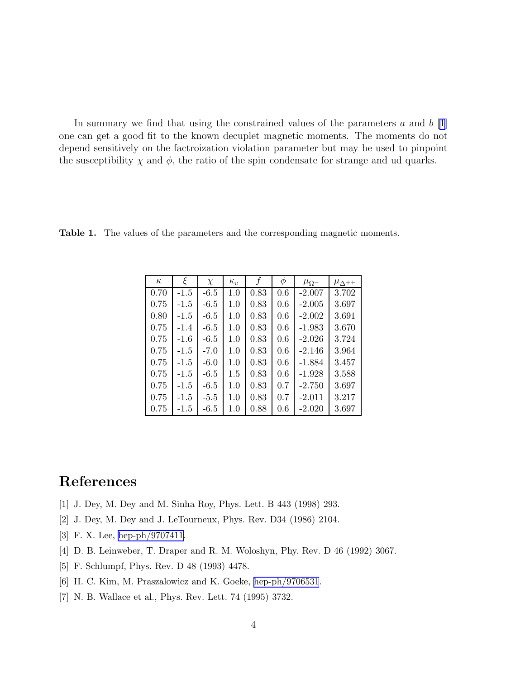<span id="page-3-0"></span>In summary we find that using the constrained values of the parameters a and  $b[1]$ one can get a good fit to the known decuplet magnetic moments. The moments do not depend sensitively on the factroization violation parameter but may be used to pinpoint the susceptibility  $\chi$  and  $\phi$ , the ratio of the spin condensate for strange and ud quarks.

| $\kappa$ | ξ      | $\chi$ | $\kappa_v$ | $\boldsymbol{f}$ | φ   | $\mu_{\Omega^{-}}$ | $\mu_{\Lambda^{++}}$ |
|----------|--------|--------|------------|------------------|-----|--------------------|----------------------|
| 0.70     | $-1.5$ | $-6.5$ | 1.0        | 0.83             | 0.6 | $-2.007$           | 3.702                |
| 0.75     | $-1.5$ | $-6.5$ | 1.0        | 0.83             | 0.6 | $-2.005$           | 3.697                |
| 0.80     | $-1.5$ | -6.5   | 1.0        | 0.83             | 0.6 | $-2.002$           | 3.691                |
| 0.75     | $-1.4$ | $-6.5$ | 1.0        | 0.83             | 0.6 | $-1.983$           | 3.670                |
| 0.75     | $-1.6$ | $-6.5$ | 1.0        | 0.83             | 0.6 | $-2.026$           | 3.724                |
| 0.75     | $-1.5$ | $-7.0$ | 1.0        | 0.83             | 0.6 | $-2.146$           | 3.964                |
| 0.75     | $-1.5$ | $-6.0$ | 1.0        | 0.83             | 0.6 | $-1.884$           | 3.457                |
| 0.75     | $-1.5$ | -6.5   | 1.5        | 0.83             | 0.6 | $-1.928$           | 3.588                |
| 0.75     | $-1.5$ | $-6.5$ | 1.0        | 0.83             | 0.7 | $-2.750$           | 3.697                |
| 0.75     | $-1.5$ | $-5.5$ | 1.0        | 0.83             | 0.7 | $-2.011$           | 3.217                |
| 0.75     | $-1.5$ | $-6.5$ | 1.0        | 0.88             | 0.6 | $-2.020$           | 3.697                |

Table 1. The values of the parameters and the corresponding magnetic moments.

## References

- [1] J. Dey, M. Dey and M. Sinha Roy, Phys. Lett. B 443 (1998) 293.
- [2] J. Dey, M. Dey and J. LeTourneux, Phys. Rev. D34 (1986) 2104.
- [3] F. X. Lee, [hep-ph/9707411](http://arxiv.org/abs/hep-ph/9707411).
- [4] D. B. Leinweber, T. Draper and R. M. Woloshyn, Phy. Rev. D 46 (1992) 3067.
- [5] F. Schlumpf, Phys. Rev. D 48 (1993) 4478.
- [6] H. C. Kim, M. Praszalowicz and K. Goeke, [hep-ph/9706531](http://arxiv.org/abs/hep-ph/9706531).
- [7] N. B. Wallace et al., Phys. Rev. Lett. 74 (1995) 3732.